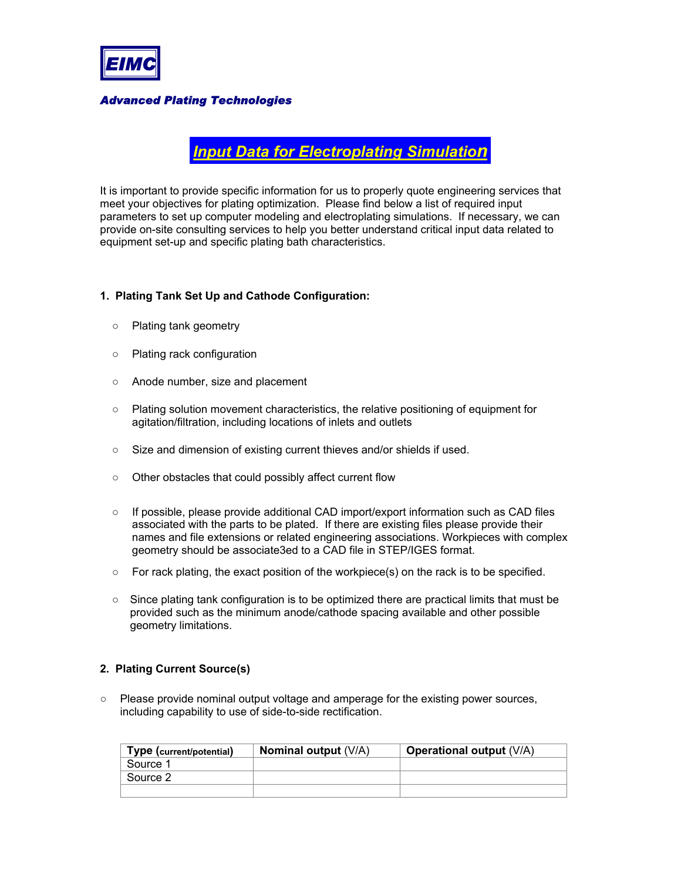

*Advanced Plating Technologies*

*Input Data for Electroplating Simulation*

It is important to provide specific information for us to properly quote engineering services that meet your objectives for plating optimization. Please find below a list of required input parameters to set up computer modeling and electroplating simulations. If necessary, we can provide on-site consulting services to help you better understand critical input data related to equipment set-up and specific plating bath characteristics.

### **1. Plating Tank Set Up and Cathode Configuration:**

- $\circ$  Plating tank geometry
- $\circ$  Plating rack configuration
- $\circ$  Anode number, size and placement
- $\circ$  Plating solution movement characteristics, the relative positioning of equipment for agitation/filtration, including locations of inlets and outlets
- $\circ$  Size and dimension of existing current thieves and/or shields if used.
- $\circ$  Other obstacles that could possibly affect current flow
- $\circ$  If possible, please provide additional CAD import/export information such as CAD files associated with the parts to be plated. If there are existing files please provide their names and file extensions or related engineering associations. Workpieces with complex geometry should be associate3ed to a CAD file in STEP/IGES format.
- $\circ$  For rack plating, the exact position of the workpiece(s) on the rack is to be specified.
- $\circ$  Since plating tank configuration is to be optimized there are practical limits that must be provided such as the minimum anode/cathode spacing available and other possible geometry limitations.

# **2. Plating Current Source(s)**

 $\circ$  Please provide nominal output voltage and amperage for the existing power sources, including capability to use of side-to-side rectification.

| Type (current/potential) | <b>Nominal output (V/A)</b> | <b>Operational output (V/A)</b> |
|--------------------------|-----------------------------|---------------------------------|
| Source 1                 |                             |                                 |
| Source 2                 |                             |                                 |
|                          |                             |                                 |